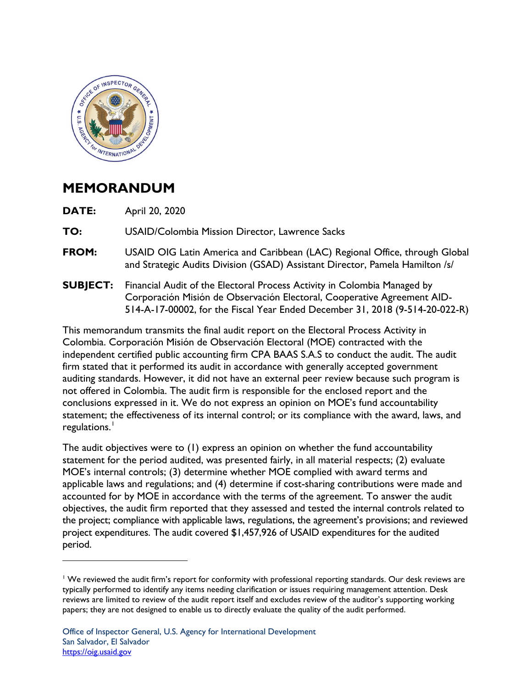

## **MEMORANDUM**

**DATE:** April 20, 2020

**TO:** USAID/Colombia Mission Director, Lawrence Sacks

- **FROM:** USAID OIG Latin America and Caribbean (LAC) Regional Office, through Global and Strategic Audits Division (GSAD) Assistant Director, Pamela Hamilton /s/
- **SUBJECT:** Financial Audit of the Electoral Process Activity in Colombia Managed by Corporación Misión de Observación Electoral, Cooperative Agreement AID-514-A-17-00002, for the Fiscal Year Ended December 31, 2018 (9-514-20-022-R)

This memorandum transmits the final audit report on the Electoral Process Activity in Colombia. Corporación Misión de Observación Electoral (MOE) contracted with the independent certified public accounting firm CPA BAAS S.A.S to conduct the audit. The audit firm stated that it performed its audit in accordance with generally accepted government auditing standards. However, it did not have an external peer review because such program is not offered in Colombia. The audit firm is responsible for the enclosed report and the conclusions expressed in it. We do not express an opinion on MOE's fund accountability statement; the effectiveness of its internal control; or its compliance with the award, laws, and regulations. $^{\mathsf{I}}$ 

The audit objectives were to (1) express an opinion on whether the fund accountability statement for the period audited, was presented fairly, in all material respects; (2) evaluate MOE's internal controls; (3) determine whether MOE complied with award terms and applicable laws and regulations; and (4) determine if cost-sharing contributions were made and accounted for by MOE in accordance with the terms of the agreement. To answer the audit objectives, the audit firm reported that they assessed and tested the internal controls related to the project; compliance with applicable laws, regulations, the agreement's provisions; and reviewed project expenditures. The audit covered \$1,457,926 of USAID expenditures for the audited period.

<span id="page-0-0"></span><sup>&</sup>lt;sup>1</sup> We reviewed the audit firm's report for conformity with professional reporting standards. Our desk reviews are typically performed to identify any items needing clarification or issues requiring management attention. Desk reviews are limited to review of the audit report itself and excludes review of the auditor's supporting working papers; they are not designed to enable us to directly evaluate the quality of the audit performed.